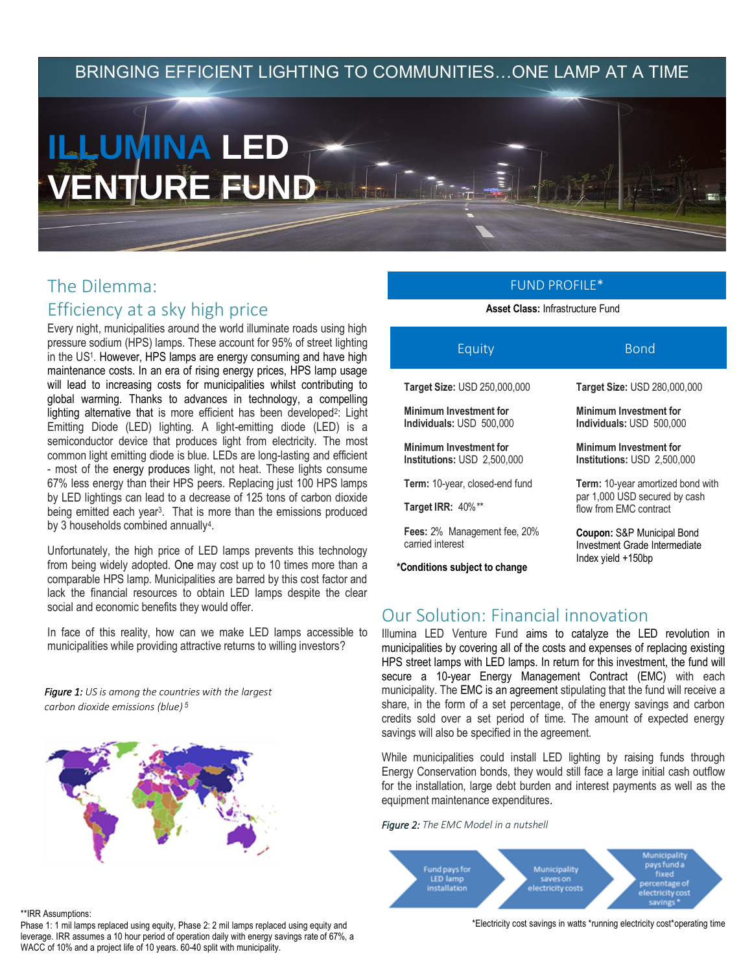## BRINGING EFFICIENT LIGHTING TO COMMUNITIES…ONE LAMP AT A TIME

# **ILLUMINA LED VENTURE FUND**

# The Dilemma: Efficiency at a sky high price

Every night, municipalities around the world illuminate roads using high pressure sodium (HPS) lamps. These account for 95% of street lighting in the US<sup>1</sup> . However, HPS lamps are energy consuming and have high maintenance costs. In an era of rising energy prices, HPS lamp usage will lead to increasing costs for municipalities whilst contributing to global warming. Thanks to advances in technology, a compelling lighting alternative that is more efficient has been developed<sup>2</sup>: Light Emitting Diode (LED) lighting. A light-emitting diode (LED) is a semiconductor device that produces light from electricity. The most common light emitting diode is blue. LEDs are long-lasting and efficient - most of the energy produces light, not heat. These lights consume 67% less energy than their HPS peers. Replacing just 100 HPS lamps by LED lightings can lead to a decrease of 125 tons of carbon dioxide being emitted each year<sup>3</sup> . That is more than the emissions produced by 3 households combined annually<sup>4</sup>.

Unfortunately, the high price of LED lamps prevents this technology from being widely adopted. One may cost up to 10 times more than a comparable HPS lamp. Municipalities are barred by this cost factor and lack the financial resources to obtain LED lamps despite the clear social and economic benefits they would offer.

In face of this reality, how can we make LED lamps accessible to municipalities while providing attractive returns to willing investors?

*Figure 1: US is among the countries with the largest carbon dioxide emissions (blue) <sup>5</sup>*



#### \*\*IRR Assumptions:

Phase 1: 1 mil lamps replaced using equity, Phase 2: 2 mil lamps replaced using equity and leverage. IRR assumes a 10 hour period of operation daily with energy savings rate of 67%, a WACC of 10% and a project life of 10 years. 60-40 split with municipality.

## FUND PROFILE\*

**Asset Class:** Infrastructure Fund

| <b>Bond</b>                                                                                         |
|-----------------------------------------------------------------------------------------------------|
| <b>Target Size: USD 280,000,000</b>                                                                 |
| <b>Minimum Investment for</b><br>Individuals: USD 500,000                                           |
| Minimum Investment for<br>Institutions: USD 2,500,000                                               |
| <b>Term:</b> 10-year amortized bond with<br>par 1,000 USD secured by cash<br>flow from EMC contract |
| <b>Coupon:</b> S&P Municipal Bond<br>Investment Grade Intermediate<br>Index yield +150bp            |
|                                                                                                     |

## Our Solution: Financial innovation

Illumina LED Venture Fund aims to catalyze the LED revolution in municipalities by covering all of the costs and expenses of replacing existing HPS street lamps with LED lamps. In return for this investment, the fund will secure a 10-year Energy Management Contract (EMC) with each municipality. The EMC is an agreement stipulating that the fund will receive a share, in the form of a set percentage, of the energy savings and carbon credits sold over a set period of time. The amount of expected energy savings will also be specified in the agreement.

While municipalities could install LED lighting by raising funds through Energy Conservation bonds, they would still face a large initial cash outflow for the installation, large debt burden and interest payments as well as the equipment maintenance expenditures.

*Figure 2: The EMC Model in a nutshell*



\*Electricity cost savings in watts \*running electricity cost\*operating time